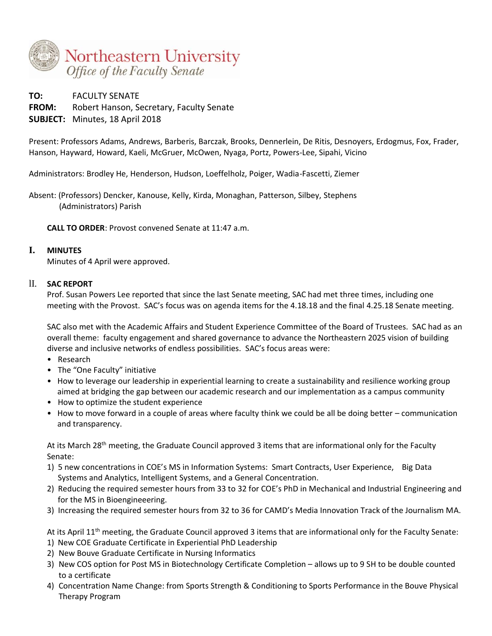

**TO:** FACULTY SENATE **FROM:** Robert Hanson, Secretary, Faculty Senate **SUBJECT:** Minutes, 18 April 2018

Present: Professors Adams, Andrews, Barberis, Barczak, Brooks, Dennerlein, De Ritis, Desnoyers, Erdogmus, Fox, Frader, Hanson, Hayward, Howard, Kaeli, McGruer, McOwen, Nyaga, Portz, Powers-Lee, Sipahi, Vicino

Administrators: Brodley He, Henderson, Hudson, Loeffelholz, Poiger, Wadia-Fascetti, Ziemer

Absent: (Professors) Dencker, Kanouse, Kelly, Kirda, Monaghan, Patterson, Silbey, Stephens (Administrators) Parish

**CALL TO ORDER**: Provost convened Senate at 11:47 a.m.

#### **I. MINUTES**

Minutes of 4 April were approved.

#### lI. **SAC REPORT**

Prof. Susan Powers Lee reported that since the last Senate meeting, SAC had met three times, including one meeting with the Provost. SAC's focus was on agenda items for the 4.18.18 and the final 4.25.18 Senate meeting.

SAC also met with the Academic Affairs and Student Experience Committee of the Board of Trustees. SAC had as an overall theme: faculty engagement and shared governance to advance the Northeastern 2025 vision of building diverse and inclusive networks of endless possibilities. SAC's focus areas were:

- Research
- The "One Faculty" initiative
- How to leverage our leadership in experiential learning to create a sustainability and resilience working group aimed at bridging the gap between our academic research and our implementation as a campus community
- How to optimize the student experience
- How to move forward in a couple of areas where faculty think we could be all be doing better communication and transparency.

At its March 28<sup>th</sup> meeting, the Graduate Council approved 3 items that are informational only for the Faculty Senate:

- 1) 5 new concentrations in COE's MS in Information Systems: Smart Contracts, User Experience, Big Data Systems and Analytics, Intelligent Systems, and a General Concentration.
- 2) Reducing the required semester hours from 33 to 32 for COE's PhD in Mechanical and Industrial Engineering and for the MS in Bioengineeering.
- 3) Increasing the required semester hours from 32 to 36 for CAMD's Media Innovation Track of the Journalism MA.

At its April 11th meeting, the Graduate Council approved 3 items that are informational only for the Faculty Senate:

- 1) New COE Graduate Certificate in Experiential PhD Leadership
- 2) New Bouve Graduate Certificate in Nursing Informatics
- 3) New COS option for Post MS in Biotechnology Certificate Completion allows up to 9 SH to be double counted to a certificate
- 4) Concentration Name Change: from Sports Strength & Conditioning to Sports Performance in the Bouve Physical Therapy Program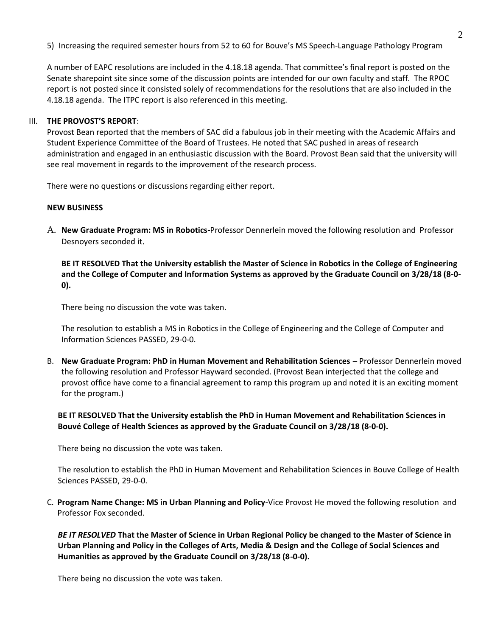5) Increasing the required semester hours from 52 to 60 for Bouve's MS Speech-Language Pathology Program

A number of EAPC resolutions are included in the 4.18.18 agenda. That committee's final report is posted on the Senate sharepoint site since some of the discussion points are intended for our own faculty and staff. The RPOC report is not posted since it consisted solely of recommendations for the resolutions that are also included in the 4.18.18 agenda. The ITPC report is also referenced in this meeting.

#### III. **THE PROVOST'S REPORT**:

Provost Bean reported that the members of SAC did a fabulous job in their meeting with the Academic Affairs and Student Experience Committee of the Board of Trustees. He noted that SAC pushed in areas of research administration and engaged in an enthusiastic discussion with the Board. Provost Bean said that the university will see real movement in regards to the improvement of the research process.

There were no questions or discussions regarding either report.

#### **NEW BUSINESS**

A. **New Graduate Program: MS in Robotics-**Professor Dennerlein moved the following resolution and Professor Desnoyers seconded it.

**BE IT RESOLVED That the University establish the Master of Science in Robotics in the College of Engineering and the College of Computer and Information Systems as approved by the Graduate Council on 3/28/18 (8-0- 0).** 

There being no discussion the vote was taken.

The resolution to establish a MS in Robotics in the College of Engineering and the College of Computer and Information Sciences PASSED, 29-0-0.

B. **New Graduate Program: PhD in Human Movement and Rehabilitation Sciences** – Professor Dennerlein moved the following resolution and Professor Hayward seconded. (Provost Bean interjected that the college and provost office have come to a financial agreement to ramp this program up and noted it is an exciting moment for the program.)

## **BE IT RESOLVED That the University establish the PhD in Human Movement and Rehabilitation Sciences in Bouvé College of Health Sciences as approved by the Graduate Council on 3/28/18 (8-0-0).**

There being no discussion the vote was taken.

The resolution to establish the PhD in Human Movement and Rehabilitation Sciences in Bouve College of Health Sciences PASSED, 29-0-0.

C. **Program Name Change: MS in Urban Planning and Policy-**Vice Provost He moved the following resolution and Professor Fox seconded.

*BE IT RESOLVED* **That the Master of Science in Urban Regional Policy be changed to the Master of Science in Urban Planning and Policy in the Colleges of Arts, Media & Design and the College of Social Sciences and Humanities as approved by the Graduate Council on 3/28/18 (8-0-0).**

There being no discussion the vote was taken.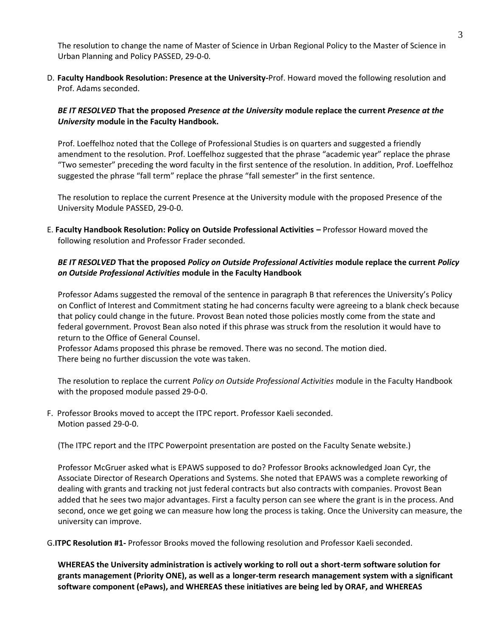The resolution to change the name of Master of Science in Urban Regional Policy to the Master of Science in Urban Planning and Policy PASSED, 29-0-0.

D. **Faculty Handbook Resolution: Presence at the University-**Prof. Howard moved the following resolution and Prof. Adams seconded.

## *BE IT RESOLVED* **That the proposed** *Presence at the University* **module replace the current** *Presence at the University* **module in the Faculty Handbook.**

Prof. Loeffelhoz noted that the College of Professional Studies is on quarters and suggested a friendly amendment to the resolution. Prof. Loeffelhoz suggested that the phrase "academic year" replace the phrase "Two semester" preceding the word faculty in the first sentence of the resolution. In addition, Prof. Loeffelhoz suggested the phrase "fall term" replace the phrase "fall semester" in the first sentence.

The resolution to replace the current Presence at the University module with the proposed Presence of the University Module PASSED, 29-0-0.

E. **Faculty Handbook Resolution: Policy on Outside Professional Activities –** Professor Howard moved the following resolution and Professor Frader seconded.

## *BE IT RESOLVED* **That the proposed** *Policy on Outside Professional Activities* **module replace the current** *Policy on Outside Professional Activities* **module in the Faculty Handbook**

Professor Adams suggested the removal of the sentence in paragraph B that references the University's Policy on Conflict of Interest and Commitment stating he had concerns faculty were agreeing to a blank check because that policy could change in the future. Provost Bean noted those policies mostly come from the state and federal government. Provost Bean also noted if this phrase was struck from the resolution it would have to return to the Office of General Counsel.

Professor Adams proposed this phrase be removed. There was no second. The motion died. There being no further discussion the vote was taken.

The resolution to replace the current *Policy on Outside Professional Activities* module in the Faculty Handbook with the proposed module passed 29-0-0.

F. Professor Brooks moved to accept the ITPC report. Professor Kaeli seconded. Motion passed 29-0-0.

(The ITPC report and the ITPC Powerpoint presentation are posted on the Faculty Senate website.)

Professor McGruer asked what is EPAWS supposed to do? Professor Brooks acknowledged Joan Cyr, the Associate Director of Research Operations and Systems. She noted that EPAWS was a complete reworking of dealing with grants and tracking not just federal contracts but also contracts with companies. Provost Bean added that he sees two major advantages. First a faculty person can see where the grant is in the process. And second, once we get going we can measure how long the process is taking. Once the University can measure, the university can improve.

G.**ITPC Resolution #1-** Professor Brooks moved the following resolution and Professor Kaeli seconded.

**WHEREAS the University administration is actively working to roll out a short-term software solution for grants management (Priority ONE), as well as a longer-term research management system with a significant software component (ePaws), and WHEREAS these initiatives are being led by ORAF, and WHEREAS**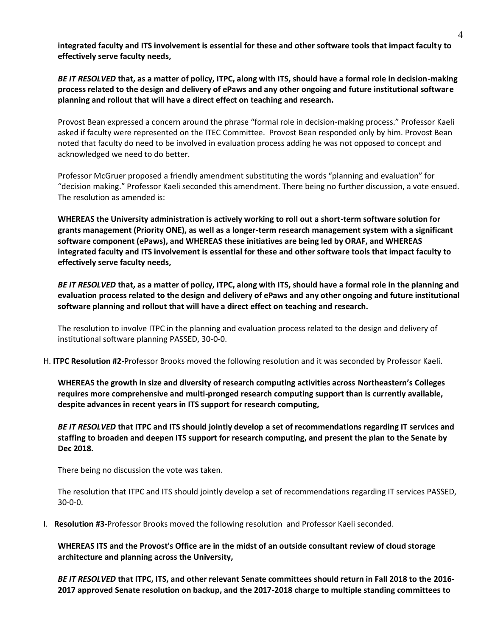**integrated faculty and ITS involvement is essential for these and other software tools that impact faculty to effectively serve faculty needs,**

*BE IT RESOLVED* **that, as a matter of policy, ITPC, along with ITS, should have a formal role in decision-making process related to the design and delivery of ePaws and any other ongoing and future institutional software planning and rollout that will have a direct effect on teaching and research.**

Provost Bean expressed a concern around the phrase "formal role in decision-making process." Professor Kaeli asked if faculty were represented on the ITEC Committee. Provost Bean responded only by him. Provost Bean noted that faculty do need to be involved in evaluation process adding he was not opposed to concept and acknowledged we need to do better.

Professor McGruer proposed a friendly amendment substituting the words "planning and evaluation" for "decision making." Professor Kaeli seconded this amendment. There being no further discussion, a vote ensued. The resolution as amended is:

**WHEREAS the University administration is actively working to roll out a short-term software solution for grants management (Priority ONE), as well as a longer-term research management system with a significant software component (ePaws), and WHEREAS these initiatives are being led by ORAF, and WHEREAS integrated faculty and ITS involvement is essential for these and other software tools that impact faculty to effectively serve faculty needs,**

*BE IT RESOLVED* **that, as a matter of policy, ITPC, along with ITS, should have a formal role in the planning and evaluation process related to the design and delivery of ePaws and any other ongoing and future institutional software planning and rollout that will have a direct effect on teaching and research.**

The resolution to involve ITPC in the planning and evaluation process related to the design and delivery of institutional software planning PASSED, 30-0-0.

H. **ITPC Resolution #2-**Professor Brooks moved the following resolution and it was seconded by Professor Kaeli.

**WHEREAS the growth in size and diversity of research computing activities across Northeastern's Colleges requires more comprehensive and multi-pronged research computing support than is currently available, despite advances in recent years in ITS support for research computing,** 

*BE IT RESOLVED* **that ITPC and ITS should jointly develop a set of recommendations regarding IT services and staffing to broaden and deepen ITS support for research computing, and present the plan to the Senate by Dec 2018.**

There being no discussion the vote was taken.

The resolution that ITPC and ITS should jointly develop a set of recommendations regarding IT services PASSED, 30-0-0.

I. **Resolution #3-**Professor Brooks moved the following resolution and Professor Kaeli seconded.

**WHEREAS ITS and the Provost's Office are in the midst of an outside consultant review of cloud storage architecture and planning across the University,** 

*BE IT RESOLVED* **that ITPC, ITS, and other relevant Senate committees should return in Fall 2018 to the 2016- 2017 approved Senate resolution on backup, and the 2017-2018 charge to multiple standing committees to**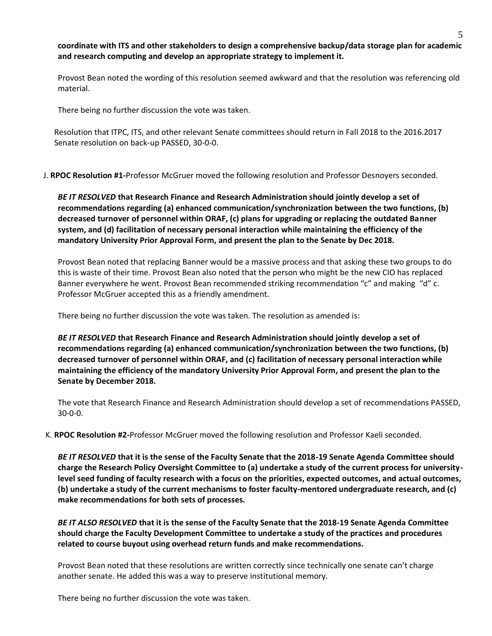**coordinate with ITS and other stakeholders to design a comprehensive backup/data storage plan for academic and research computing and develop an appropriate strategy to implement it.**

Provost Bean noted the wording of this resolution seemed awkward and that the resolution was referencing old material.

There being no further discussion the vote was taken.

Resolution that ITPC, ITS, and other relevant Senate committees should return in Fall 2018 to the 2016.2017 Senate resolution on back-up PASSED, 30-0-0.

J. **RPOC Resolution #1-**Professor McGruer moved the following resolution and Professor Desnoyers seconded.

*BE IT RESOLVED* **that Research Finance and Research Administration should jointly develop a set of recommendations regarding (a) enhanced communication/synchronization between the two functions, (b) decreased turnover of personnel within ORAF, (c) plans for upgrading or replacing the outdated Banner system, and (d) facilitation of necessary personal interaction while maintaining the efficiency of the mandatory University Prior Approval Form, and present the plan to the Senate by Dec 2018.**

Provost Bean noted that replacing Banner would be a massive process and that asking these two groups to do this is waste of their time. Provost Bean also noted that the person who might be the new CIO has replaced Banner everywhere he went. Provost Bean recommended striking recommendation "c" and making "d" c. Professor McGruer accepted this as a friendly amendment.

There being no further discussion the vote was taken. The resolution as amended is:

*BE IT RESOLVED* **that Research Finance and Research Administration should jointly develop a set of recommendations regarding (a) enhanced communication/synchronization between the two functions, (b) decreased turnover of personnel within ORAF, and (c) facilitation of necessary personal interaction while maintaining the efficiency of the mandatory University Prior Approval Form, and present the plan to the Senate by December 2018.**

The vote that Research Finance and Research Administration should develop a set of recommendations PASSED, 30-0-0.

K. **RPOC Resolution #2-**Professor McGruer moved the following resolution and Professor Kaeli seconded.

*BE IT RESOLVED* **that it is the sense of the Faculty Senate that the 2018-19 Senate Agenda Committee should charge the Research Policy Oversight Committee to (a) undertake a study of the current process for universitylevel seed funding of faculty research with a focus on the priorities, expected outcomes, and actual outcomes, (b) undertake a study of the current mechanisms to foster faculty-mentored undergraduate research, and (c) make recommendations for both sets of processes.** 

*BE IT ALSO RESOLVED* **that it is the sense of the Faculty Senate that the 2018-19 Senate Agenda Committee should charge the Faculty Development Committee to undertake a study of the practices and procedures related to course buyout using overhead return funds and make recommendations.**

Provost Bean noted that these resolutions are written correctly since technically one senate can't charge another senate. He added this was a way to preserve institutional memory.

There being no further discussion the vote was taken.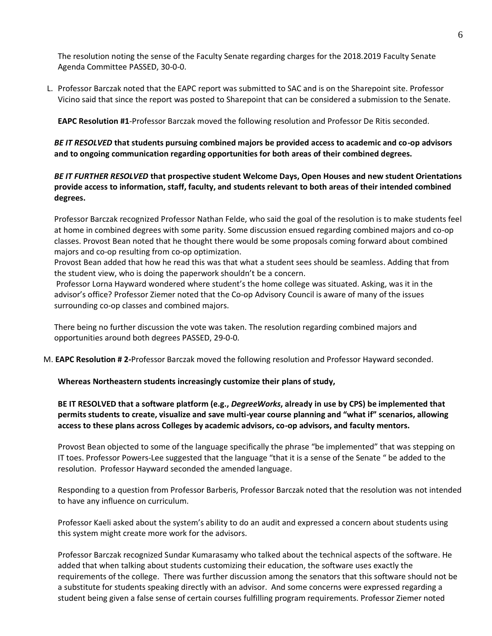The resolution noting the sense of the Faculty Senate regarding charges for the 2018.2019 Faculty Senate Agenda Committee PASSED, 30-0-0.

L. Professor Barczak noted that the EAPC report was submitted to SAC and is on the Sharepoint site. Professor Vicino said that since the report was posted to Sharepoint that can be considered a submission to the Senate.

**EAPC Resolution #1**-Professor Barczak moved the following resolution and Professor De Ritis seconded.

*BE IT RESOLVED* **that students pursuing combined majors be provided access to academic and co-op advisors and to ongoing communication regarding opportunities for both areas of their combined degrees.** 

# *BE IT FURTHER RESOLVED* **that prospective student Welcome Days, Open Houses and new student Orientations provide access to information, staff, faculty, and students relevant to both areas of their intended combined degrees.**

Professor Barczak recognized Professor Nathan Felde, who said the goal of the resolution is to make students feel at home in combined degrees with some parity. Some discussion ensued regarding combined majors and co-op classes. Provost Bean noted that he thought there would be some proposals coming forward about combined majors and co-op resulting from co-op optimization.

Provost Bean added that how he read this was that what a student sees should be seamless. Adding that from the student view, who is doing the paperwork shouldn't be a concern.

Professor Lorna Hayward wondered where student's the home college was situated. Asking, was it in the advisor's office? Professor Ziemer noted that the Co-op Advisory Council is aware of many of the issues surrounding co-op classes and combined majors.

There being no further discussion the vote was taken. The resolution regarding combined majors and opportunities around both degrees PASSED, 29-0-0.

M. **EAPC Resolution # 2-**Professor Barczak moved the following resolution and Professor Hayward seconded.

**Whereas Northeastern students increasingly customize their plans of study,**

# **BE IT RESOLVED that a software platform (e.g.,** *DegreeWorks***, already in use by CPS) be implemented that permits students to create, visualize and save multi-year course planning and "what if" scenarios, allowing access to these plans across Colleges by academic advisors, co-op advisors, and faculty mentors.**

Provost Bean objected to some of the language specifically the phrase "be implemented" that was stepping on IT toes. Professor Powers-Lee suggested that the language "that it is a sense of the Senate " be added to the resolution. Professor Hayward seconded the amended language.

Responding to a question from Professor Barberis, Professor Barczak noted that the resolution was not intended to have any influence on curriculum.

Professor Kaeli asked about the system's ability to do an audit and expressed a concern about students using this system might create more work for the advisors.

Professor Barczak recognized Sundar Kumarasamy who talked about the technical aspects of the software. He added that when talking about students customizing their education, the software uses exactly the requirements of the college. There was further discussion among the senators that this software should not be a substitute for students speaking directly with an advisor. And some concerns were expressed regarding a student being given a false sense of certain courses fulfilling program requirements. Professor Ziemer noted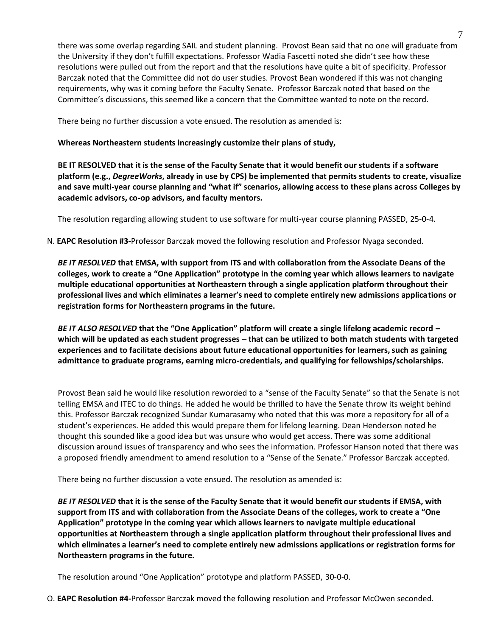there was some overlap regarding SAIL and student planning. Provost Bean said that no one will graduate from the University if they don't fulfill expectations. Professor Wadia Fascetti noted she didn't see how these resolutions were pulled out from the report and that the resolutions have quite a bit of specificity. Professor Barczak noted that the Committee did not do user studies. Provost Bean wondered if this was not changing requirements, why was it coming before the Faculty Senate. Professor Barczak noted that based on the Committee's discussions, this seemed like a concern that the Committee wanted to note on the record.

There being no further discussion a vote ensued. The resolution as amended is:

## **Whereas Northeastern students increasingly customize their plans of study,**

**BE IT RESOLVED that it is the sense of the Faculty Senate that it would benefit our students if a software platform (e.g.,** *DegreeWorks***, already in use by CPS) be implemented that permits students to create, visualize and save multi-year course planning and "what if" scenarios, allowing access to these plans across Colleges by academic advisors, co-op advisors, and faculty mentors.** 

The resolution regarding allowing student to use software for multi-year course planning PASSED, 25-0-4.

N. **EAPC Resolution #3-**Professor Barczak moved the following resolution and Professor Nyaga seconded.

*BE IT RESOLVED* **that EMSA, with support from ITS and with collaboration from the Associate Deans of the colleges, work to create a "One Application" prototype in the coming year which allows learners to navigate multiple educational opportunities at Northeastern through a single application platform throughout their professional lives and which eliminates a learner's need to complete entirely new admissions applications or registration forms for Northeastern programs in the future.**

*BE IT ALSO RESOLVED* **that the "One Application" platform will create a single lifelong academic record – which will be updated as each student progresses – that can be utilized to both match students with targeted experiences and to facilitate decisions about future educational opportunities for learners, such as gaining admittance to graduate programs, earning micro-credentials, and qualifying for fellowships/scholarships.**

Provost Bean said he would like resolution reworded to a "sense of the Faculty Senate" so that the Senate is not telling EMSA and ITEC to do things. He added he would be thrilled to have the Senate throw its weight behind this. Professor Barczak recognized Sundar Kumarasamy who noted that this was more a repository for all of a student's experiences. He added this would prepare them for lifelong learning. Dean Henderson noted he thought this sounded like a good idea but was unsure who would get access. There was some additional discussion around issues of transparency and who sees the information. Professor Hanson noted that there was a proposed friendly amendment to amend resolution to a "Sense of the Senate." Professor Barczak accepted.

There being no further discussion a vote ensued. The resolution as amended is:

*BE IT RESOLVED* **that it is the sense of the Faculty Senate that it would benefit our students if EMSA, with support from ITS and with collaboration from the Associate Deans of the colleges, work to create a "One Application" prototype in the coming year which allows learners to navigate multiple educational opportunities at Northeastern through a single application platform throughout their professional lives and which eliminates a learner's need to complete entirely new admissions applications or registration forms for Northeastern programs in the future.**

The resolution around "One Application" prototype and platform PASSED, 30-0-0.

O. **EAPC Resolution #4-**Professor Barczak moved the following resolution and Professor McOwen seconded.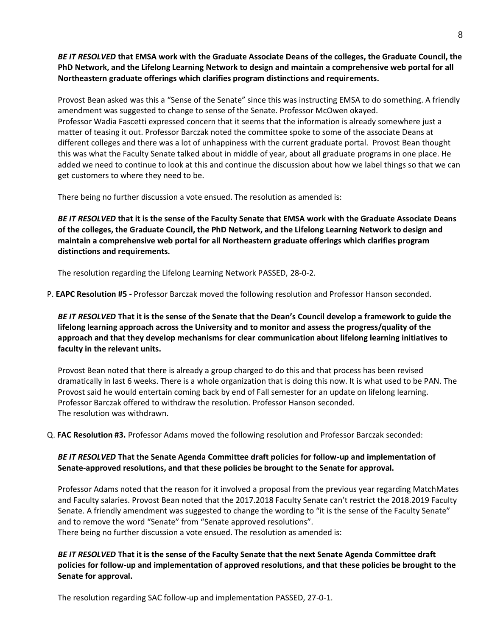*BE IT RESOLVED* **that EMSA work with the Graduate Associate Deans of the colleges, the Graduate Council, the PhD Network, and the Lifelong Learning Network to design and maintain a comprehensive web portal for all Northeastern graduate offerings which clarifies program distinctions and requirements.**

Provost Bean asked was this a "Sense of the Senate" since this was instructing EMSA to do something. A friendly amendment was suggested to change to sense of the Senate. Professor McOwen okayed. Professor Wadia Fascetti expressed concern that it seems that the information is already somewhere just a matter of teasing it out. Professor Barczak noted the committee spoke to some of the associate Deans at different colleges and there was a lot of unhappiness with the current graduate portal. Provost Bean thought this was what the Faculty Senate talked about in middle of year, about all graduate programs in one place. He added we need to continue to look at this and continue the discussion about how we label things so that we can get customers to where they need to be.

There being no further discussion a vote ensued. The resolution as amended is:

*BE IT RESOLVED* **that it is the sense of the Faculty Senate that EMSA work with the Graduate Associate Deans of the colleges, the Graduate Council, the PhD Network, and the Lifelong Learning Network to design and maintain a comprehensive web portal for all Northeastern graduate offerings which clarifies program distinctions and requirements.**

The resolution regarding the Lifelong Learning Network PASSED, 28-0-2.

P. **EAPC Resolution #5 -** Professor Barczak moved the following resolution and Professor Hanson seconded.

*BE IT RESOLVED* **That it is the sense of the Senate that the Dean's Council develop a framework to guide the lifelong learning approach across the University and to monitor and assess the progress/quality of the approach and that they develop mechanisms for clear communication about lifelong learning initiatives to faculty in the relevant units.**

Provost Bean noted that there is already a group charged to do this and that process has been revised dramatically in last 6 weeks. There is a whole organization that is doing this now. It is what used to be PAN. The Provost said he would entertain coming back by end of Fall semester for an update on lifelong learning. Professor Barczak offered to withdraw the resolution. Professor Hanson seconded. The resolution was withdrawn.

Q. **FAC Resolution #3.** Professor Adams moved the following resolution and Professor Barczak seconded:

## *BE IT RESOLVED* **That the Senate Agenda Committee draft policies for follow-up and implementation of Senate-approved resolutions, and that these policies be brought to the Senate for approval.**

Professor Adams noted that the reason for it involved a proposal from the previous year regarding MatchMates and Faculty salaries. Provost Bean noted that the 2017.2018 Faculty Senate can't restrict the 2018.2019 Faculty Senate. A friendly amendment was suggested to change the wording to "it is the sense of the Faculty Senate" and to remove the word "Senate" from "Senate approved resolutions". There being no further discussion a vote ensued. The resolution as amended is:

*BE IT RESOLVED* **That it is the sense of the Faculty Senate that the next Senate Agenda Committee draft policies for follow-up and implementation of approved resolutions, and that these policies be brought to the Senate for approval.** 

The resolution regarding SAC follow-up and implementation PASSED, 27-0-1.